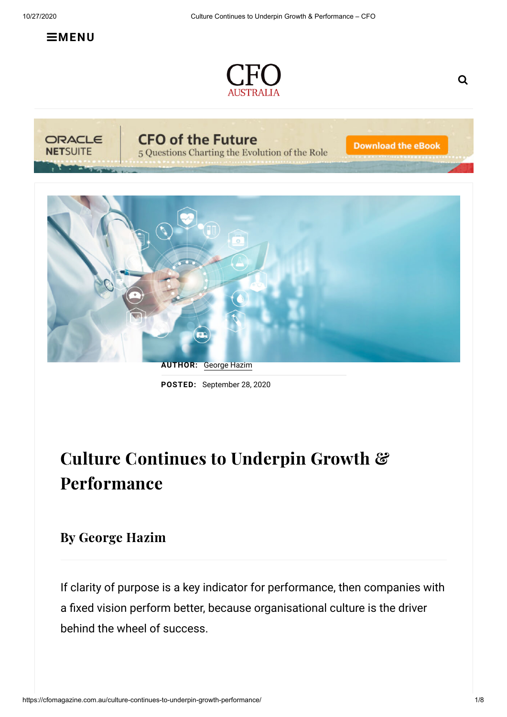$\equiv$ **[MENU](https://cfomagazine.com.au/culture-continues-to-underpin-growth-performance/)** 







**CFO of the Future** 

5 Questions Charting the Evolution of the Role

**Download the eBook** 



**POSTED:** September 28, 2020

# Culture Continues to Underpin Growth & Performance

## By George Hazim

If clarity of purpose is a key indicator for performance, then companies with a fixed vision perform better, because organisational culture is the driver behind the wheel of success.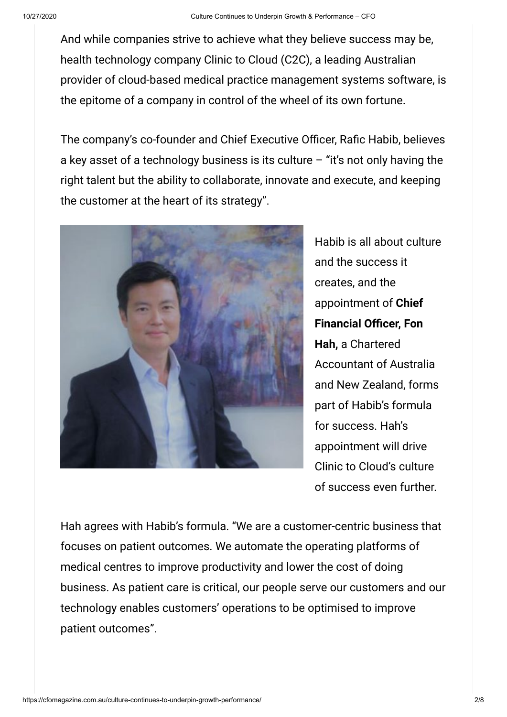And while companies strive to achieve what they believe success may be, health technology company Clinic to Cloud (C2C), a leading Australian provider of cloud-based medical practice management systems software, is the epitome of a company in control of the wheel of its own fortune.

The company's co-founder and Chief Executive Officer, Rafic Habib, believes a key asset of a technology business is its culture  $-$  "it's not only having the right talent but the ability to collaborate, innovate and execute, and keeping the customer at the heart of its strategy".



Habib is all about culture and the success it creates, and the appointment of **Chief Financial Officer, Fon Hah,** a Chartered Accountant of Australia and New Zealand, forms part of Habib's formula for success. Hah's appointment will drive Clinic to Cloud's culture of success even further.

Hah agrees with Habib's formula. "We are a customer-centric business that focuses on patient outcomes. We automate the operating platforms of medical centres to improve productivity and lower the cost of doing business. As patient care is critical, our people serve our customers and our technology enables customers' operations to be optimised to improve patient outcomes".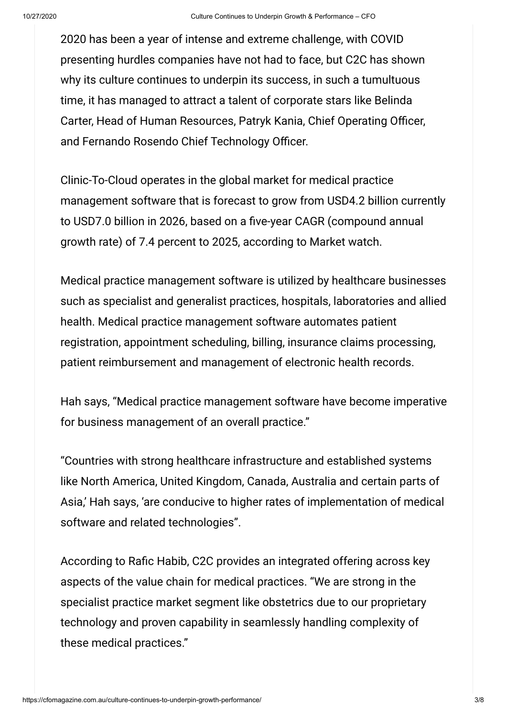2020 has been a year of intense and extreme challenge, with COVID presenting hurdles companies have not had to face, but C2C has shown why its culture continues to underpin its success, in such a tumultuous time, it has managed to attract a talent of corporate stars like Belinda Carter, Head of Human Resources, Patryk Kania, Chief Operating Officer, and Fernando Rosendo Chief Technology Officer.

Clinic-To-Cloud operates in the global market for medical practice management software that is forecast to grow from USD4.2 billion currently to USD7.0 billion in 2026, based on a five-year CAGR (compound annual growth rate) of 7.4 percent to 2025, according to Market watch.

Medical practice management software is utilized by healthcare businesses such as specialist and generalist practices, hospitals, laboratories and allied health. Medical practice management software automates patient registration, appointment scheduling, billing, insurance claims processing, patient reimbursement and management of electronic health records.

Hah says, "Medical practice management software have become imperative for business management of an overall practice."

"Countries with strong healthcare infrastructure and established systems like North America, United Kingdom, Canada, Australia and certain parts of Asia,' Hah says, 'are conducive to higher rates of implementation of medical software and related technologies".

According to Rafic Habib, C2C provides an integrated offering across key aspects of the value chain for medical practices. "We are strong in the specialist practice market segment like obstetrics due to our proprietary technology and proven capability in seamlessly handling complexity of these medical practices."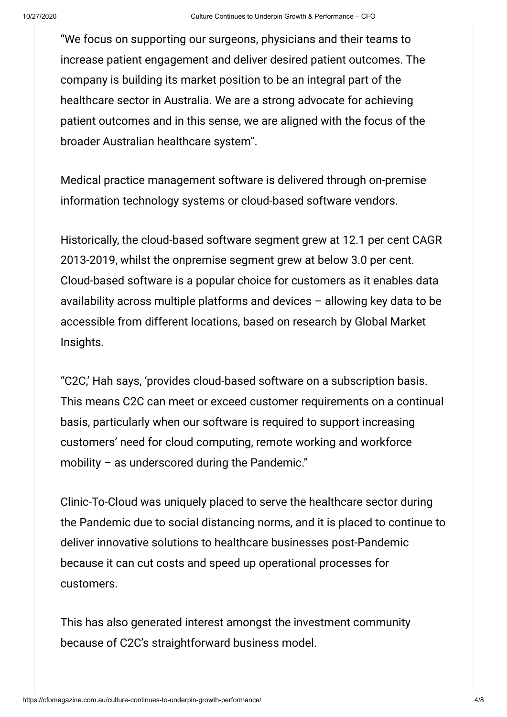"We focus on supporting our surgeons, physicians and their teams to increase patient engagement and deliver desired patient outcomes. The company is building its market position to be an integral part of the healthcare sector in Australia. We are a strong advocate for achieving patient outcomes and in this sense, we are aligned with the focus of the broader Australian healthcare system".

Medical practice management software is delivered through on-premise information technology systems or cloud-based software vendors.

Historically, the cloud-based software segment grew at 12.1 per cent CAGR 2013-2019, whilst the onpremise segment grew at below 3.0 per cent. Cloud-based software is a popular choice for customers as it enables data availability across multiple platforms and devices – allowing key data to be accessible from different locations, based on research by Global Market Insights.

"C2C,' Hah says, 'provides cloud-based software on a subscription basis. This means C2C can meet or exceed customer requirements on a continual basis, particularly when our software is required to support increasing customers' need for cloud computing, remote working and workforce mobility – as underscored during the Pandemic."

Clinic-To-Cloud was uniquely placed to serve the healthcare sector during the Pandemic due to social distancing norms, and it is placed to continue to deliver innovative solutions to healthcare businesses post-Pandemic because it can cut costs and speed up operational processes for customers.

This has also generated interest amongst the investment community because of C2C's straightforward business model.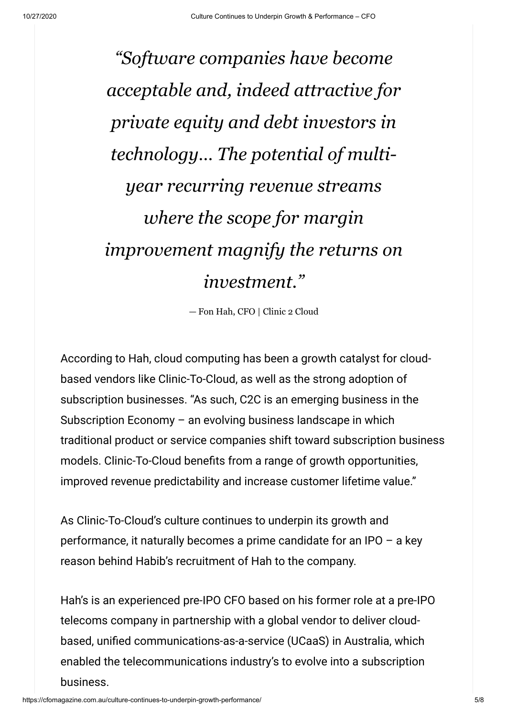*"Software companies have become acceptable and, indeed attractive for private equity and debt investors in technology… The potential of multiyear recurring revenue streams where the scope for margin improvement magnify the returns on investment."*

— Fon Hah, CFO | Clinic 2 Cloud

According to Hah, cloud computing has been a growth catalyst for cloudbased vendors like Clinic-To-Cloud, as well as the strong adoption of subscription businesses. "As such, C2C is an emerging business in the Subscription Economy – an evolving business landscape in which traditional product or service companies shift toward subscription business models. Clinic-To-Cloud benefits from a range of growth opportunities, improved revenue predictability and increase customer lifetime value."

As Clinic-To-Cloud's culture continues to underpin its growth and performance, it naturally becomes a prime candidate for an IPO – a key reason behind Habib's recruitment of Hah to the company.

Hah's is an experienced pre-IPO CFO based on his former role at a pre-IPO telecoms company in partnership with a global vendor to deliver cloudbased, unified communications-as-a-service (UCaaS) in Australia, which enabled the telecommunications industry's to evolve into a subscription business.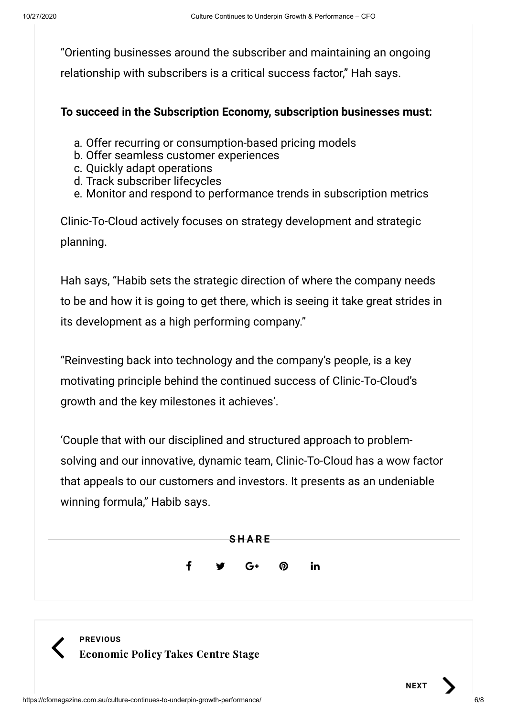"Orienting businesses around the subscriber and maintaining an ongoing relationship with subscribers is a critical success factor," Hah says.

#### **To succeed in the Subscription Economy, subscription businesses must:**

- a. Offer recurring or consumption-based pricing models
- b. Offer seamless customer experiences
- c. Quickly adapt operations
- d. Track subscriber lifecycles
- e. Monitor and respond to performance trends in subscription metrics

Clinic-To-Cloud actively focuses on strategy development and strategic planning.

Hah says, "Habib sets the strategic direction of where the company needs to be and how it is going to get there, which is seeing it take great strides in its development as a high performing company."

"Reinvesting back into technology and the company's people, is a key motivating principle behind the continued success of Clinic-To-Cloud's growth and the key milestones it achieves'.

'Couple that with our disciplined and structured approach to problemsolving and our innovative, dynamic team, Clinic-To-Cloud has a wow factor that appeals to our customers and investors. It presents as an undeniable winning formula," Habib says.





**NEXT**

 $\overline{\phantom{0}}$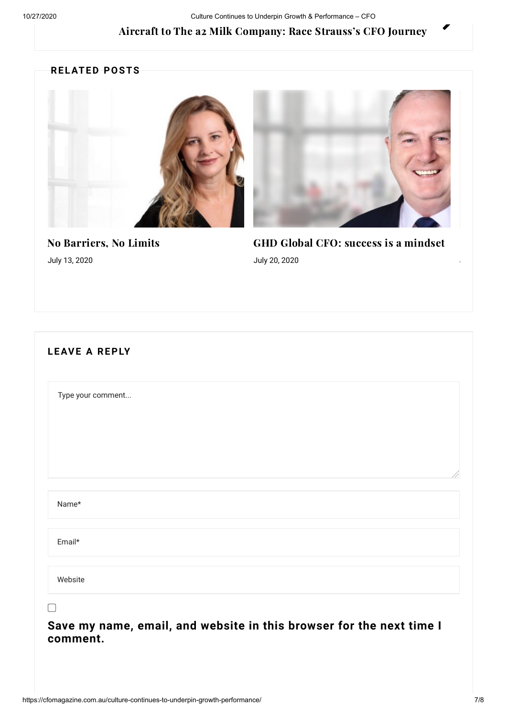#### Aircraft to The a2 Milk [Company:](https://cfomagazine.com.au/aircraft-to-the-a2-milk-company-race-strausss-cfo-journey/) Race Strauss's CFO Journey

#### **RELATED POSTS**



No [Barriers,](https://cfomagazine.com.au/no-barriers-no-limits-2/) No Limits July 13, 2020

GHD Global CFO: success is a [mindset](https://cfomagazine.com.au/ghd-global-cfo-success-is-a-mindset/) July 20, 2020

| Type your comment |  |  |  |
|-------------------|--|--|--|
| Name*             |  |  |  |
| Email*            |  |  |  |
| Website           |  |  |  |